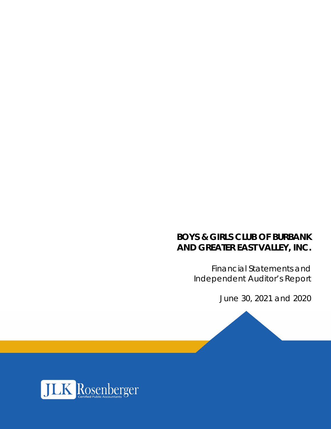Financial Statements and Independent Auditor's Report

June 30, 2021 and 2020

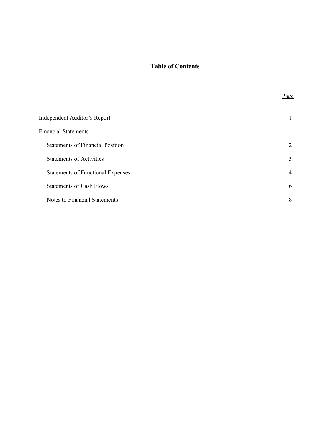# **Table of Contents**

|                                          | Page |
|------------------------------------------|------|
| Independent Auditor's Report             |      |
| <b>Financial Statements</b>              |      |
| <b>Statements of Financial Position</b>  | 2    |
| <b>Statements of Activities</b>          | 3    |
| <b>Statements of Functional Expenses</b> | 4    |
| <b>Statements of Cash Flows</b>          | 6    |
| Notes to Financial Statements            | 8    |
|                                          |      |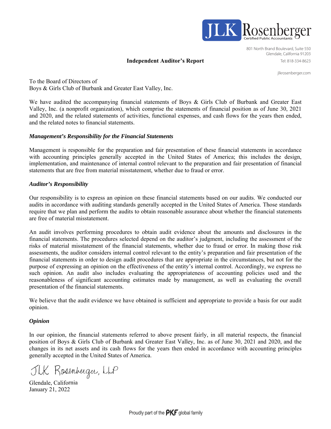

801 North Brand Boulevard, Suite 550 Glendale, California 91203 Tel: 818-334-8623

#### **Independent Auditor's Report**

jlkrosenberger.com

To the Board of Directors of Boys & Girls Club of Burbank and Greater East Valley, Inc.

We have audited the accompanying financial statements of Boys & Girls Club of Burbank and Greater East Valley, Inc. (a nonprofit organization), which comprise the statements of financial position as of June 30, 2021 and 2020, and the related statements of activities, functional expenses, and cash flows for the years then ended, and the related notes to financial statements.

### *Management's Responsibility for the Financial Statements*

Management is responsible for the preparation and fair presentation of these financial statements in accordance with accounting principles generally accepted in the United States of America; this includes the design, implementation, and maintenance of internal control relevant to the preparation and fair presentation of financial statements that are free from material misstatement, whether due to fraud or error.

### *Auditor's Responsibility*

Our responsibility is to express an opinion on these financial statements based on our audits. We conducted our audits in accordance with auditing standards generally accepted in the United States of America. Those standards require that we plan and perform the audits to obtain reasonable assurance about whether the financial statements are free of material misstatement.

An audit involves performing procedures to obtain audit evidence about the amounts and disclosures in the financial statements. The procedures selected depend on the auditor's judgment, including the assessment of the risks of material misstatement of the financial statements, whether due to fraud or error. In making those risk assessments, the auditor considers internal control relevant to the entity's preparation and fair presentation of the financial statements in order to design audit procedures that are appropriate in the circumstances, but not for the purpose of expressing an opinion on the effectiveness of the entity's internal control. Accordingly, we express no such opinion. An audit also includes evaluating the appropriateness of accounting policies used and the reasonableness of significant accounting estimates made by management, as well as evaluating the overall presentation of the financial statements.

We believe that the audit evidence we have obtained is sufficient and appropriate to provide a basis for our audit opinion.

### *Opinion*

In our opinion, the financial statements referred to above present fairly, in all material respects, the financial position of Boys & Girls Club of Burbank and Greater East Valley, Inc. as of June 30, 2021 and 2020, and the changes in its net assets and its cash flows for the years then ended in accordance with accounting principles generally accepted in the United States of America.

JLK Rosenberger, LLP

Glendale, California January 21, 2022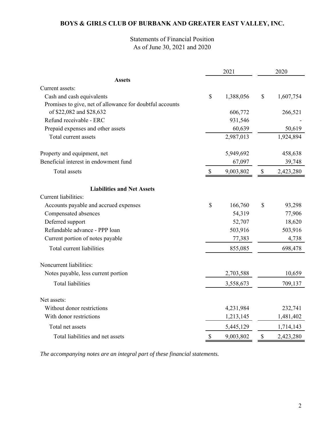# Statements of Financial Position As of June 30, 2021 and 2020

|                                                          | 2021                      |           |              | 2020      |
|----------------------------------------------------------|---------------------------|-----------|--------------|-----------|
| <b>Assets</b>                                            |                           |           |              |           |
| Current assets:                                          |                           |           |              |           |
| Cash and cash equivalents                                | \$                        | 1,388,056 | \$           | 1,607,754 |
| Promises to give, net of allowance for doubtful accounts |                           |           |              |           |
| of \$22,082 and \$28,632                                 |                           | 606,772   |              | 266,521   |
| Refund receivable - ERC                                  |                           | 931,546   |              |           |
| Prepaid expenses and other assets                        |                           | 60,639    |              | 50,619    |
| Total current assets                                     |                           | 2,987,013 |              | 1,924,894 |
| Property and equipment, net                              |                           | 5,949,692 |              | 458,638   |
| Beneficial interest in endowment fund                    |                           | 67,097    |              | 39,748    |
| <b>Total</b> assets                                      | $\boldsymbol{\mathsf{S}}$ | 9,003,802 | $\mathbb{S}$ | 2,423,280 |
| <b>Liabilities and Net Assets</b>                        |                           |           |              |           |
| Current liabilities:                                     |                           |           |              |           |
| Accounts payable and accrued expenses                    | \$                        | 166,760   | \$           | 93,298    |
| Compensated absences                                     |                           | 54,319    |              | 77,906    |
| Deferred support                                         |                           | 52,707    |              | 18,620    |
| Refundable advance - PPP loan                            |                           | 503,916   |              | 503,916   |
| Current portion of notes payable                         |                           | 77,383    |              | 4,738     |
| Total current liabilities                                |                           | 855,085   |              | 698,478   |
| Noncurrent liabilities:                                  |                           |           |              |           |
| Notes payable, less current portion                      |                           | 2,703,588 |              | 10,659    |
| <b>Total liabilities</b>                                 |                           | 3,558,673 |              | 709,137   |
| Net assets:                                              |                           |           |              |           |
| Without donor restrictions                               |                           | 4,231,984 |              | 232,741   |
| With donor restrictions                                  |                           | 1,213,145 |              | 1,481,402 |
| Total net assets                                         |                           | 5,445,129 |              | 1,714,143 |
| Total liabilities and net assets                         | \$                        | 9,003,802 | \$           | 2,423,280 |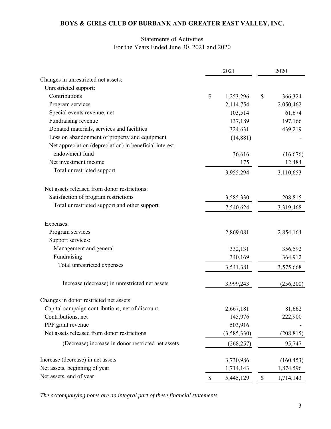# Statements of Activities For the Years Ended June 30, 2021 and 2020

|                                                        | 2021 |               | 2020      |            |  |
|--------------------------------------------------------|------|---------------|-----------|------------|--|
| Changes in unrestricted net assets:                    |      |               |           |            |  |
| Unrestricted support:                                  |      |               |           |            |  |
| Contributions                                          | \$   | 1,253,296     | \$        | 366,324    |  |
| Program services                                       |      | 2,114,754     |           | 2,050,462  |  |
| Special events revenue, net                            |      | 103,514       |           | 61,674     |  |
| Fundraising revenue                                    |      | 137,189       |           | 197,166    |  |
| Donated materials, services and facilities             |      | 324,631       |           | 439,219    |  |
| Loss on abandonment of property and equipment          |      | (14,881)      |           |            |  |
| Net appreciation (depreciation) in beneficial interest |      |               |           |            |  |
| endowment fund                                         |      | 36,616        |           | (16,676)   |  |
| Net investment income                                  |      | 175           |           | 12,484     |  |
| Total unrestricted support                             |      | 3,955,294     |           | 3,110,653  |  |
| Net assets released from donor restrictions:           |      |               |           |            |  |
| Satisfaction of program restrictions                   |      | 3,585,330     |           | 208,815    |  |
| Total unrestricted support and other support           |      | 7,540,624     |           | 3,319,468  |  |
| Expenses:                                              |      |               |           |            |  |
| Program services                                       |      | 2,869,081     |           | 2,854,164  |  |
| Support services:                                      |      |               |           |            |  |
| Management and general                                 |      | 332,131       |           | 356,592    |  |
| Fundraising                                            |      | 340,169       | 364,912   |            |  |
| Total unrestricted expenses                            |      | 3,541,381     | 3,575,668 |            |  |
| Increase (decrease) in unrestricted net assets         |      | 3,999,243     |           | (256,200)  |  |
| Changes in donor restricted net assets:                |      |               |           |            |  |
| Capital campaign contributions, net of discount        |      | 2,667,181     |           | 81,662     |  |
| Contributions, net                                     |      | 145,976       |           | 222,900    |  |
| PPP grant revenue                                      |      | 503,916       |           |            |  |
| Net assets released from donor restrictions            |      | (3, 585, 330) |           | (208, 815) |  |
| (Decrease) increase in donor restricted net assets     |      | (268, 257)    |           | 95,747     |  |
| Increase (decrease) in net assets                      |      | 3,730,986     |           | (160, 453) |  |
| Net assets, beginning of year                          |      | 1,714,143     |           | 1,874,596  |  |
| Net assets, end of year                                | \$   | 5,445,129     | \$        | 1,714,143  |  |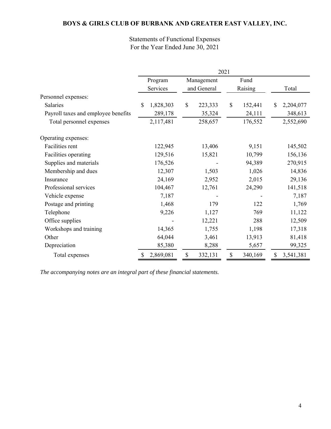# For the Year Ended June 30, 2021 Statements of Functional Expenses

|                                     | 2021            |                                      |                          |                 |  |  |
|-------------------------------------|-----------------|--------------------------------------|--------------------------|-----------------|--|--|
|                                     | Program         | Management                           | Fund                     |                 |  |  |
|                                     | Services        | and General                          | Raising                  | Total           |  |  |
| Personnel expenses:                 |                 |                                      |                          |                 |  |  |
| Salaries                            | \$<br>1,828,303 | $\boldsymbol{\mathsf{S}}$<br>223,333 | $\mathbf S$<br>152,441   | S<br>2,204,077  |  |  |
| Payroll taxes and employee benefits | 289,178         | 35,324                               | 24,111                   | 348,613         |  |  |
| Total personnel expenses            | 2,117,481       | 258,657                              | 176,552                  | 2,552,690       |  |  |
| Operating expenses:                 |                 |                                      |                          |                 |  |  |
| Facilities rent                     | 122,945         | 13,406                               | 9,151                    | 145,502         |  |  |
| Facilities operating                | 129,516         | 15,821                               | 10,799                   | 156,136         |  |  |
| Supplies and materials              | 176,526         |                                      | 94,389                   | 270,915         |  |  |
| Membership and dues                 | 12,307          | 1,503                                | 1,026                    | 14,836          |  |  |
| Insurance                           | 24,169          | 2,952                                | 2,015                    | 29,136          |  |  |
| Professional services               | 104,467         | 12,761                               | 24,290                   | 141,518         |  |  |
| Vehicle expense                     | 7,187           |                                      |                          | 7,187           |  |  |
| Postage and printing                | 1,468           | 179                                  | 122                      | 1,769           |  |  |
| Telephone                           | 9,226           | 1,127                                | 769                      | 11,122          |  |  |
| Office supplies                     |                 | 12,221                               | 288                      | 12,509          |  |  |
| Workshops and training              | 14,365          | 1,755                                | 1,198                    | 17,318          |  |  |
| Other                               | 64,044          | 3,461                                | 13,913                   | 81,418          |  |  |
| Depreciation                        | 85,380          | 8,288                                | 5,657                    | 99,325          |  |  |
| Total expenses                      | 2,869,081<br>\$ | \$<br>332,131                        | $\mathcal{S}$<br>340,169 | 3,541,381<br>\$ |  |  |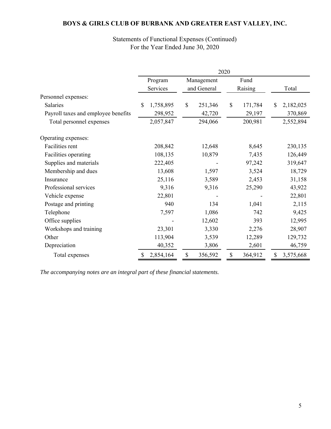# For the Year Ended June 30, 2020 Statements of Functional Expenses (Continued)

|                                     | 2020            |               |                         |                 |  |  |
|-------------------------------------|-----------------|---------------|-------------------------|-----------------|--|--|
|                                     | Program         | Management    | Fund                    |                 |  |  |
|                                     | Services        | and General   | Raising                 | Total           |  |  |
| Personnel expenses:                 |                 |               |                         |                 |  |  |
| Salaries                            | \$<br>1,758,895 | \$<br>251,346 | $\mathbb{S}$<br>171,784 | S<br>2,182,025  |  |  |
| Payroll taxes and employee benefits | 298,952         | 42,720        | 29,197                  | 370,869         |  |  |
| Total personnel expenses            | 2,057,847       | 294,066       | 200,981                 | 2,552,894       |  |  |
| Operating expenses:                 |                 |               |                         |                 |  |  |
| Facilities rent                     | 208,842         | 12,648        | 8,645                   | 230,135         |  |  |
| Facilities operating                | 108,135         | 10,879        | 7,435                   | 126,449         |  |  |
| Supplies and materials              | 222,405         |               | 97,242                  | 319,647         |  |  |
| Membership and dues                 | 13,608          | 1,597         | 3,524                   | 18,729          |  |  |
| Insurance                           | 25,116          | 3,589         | 2,453                   | 31,158          |  |  |
| Professional services               | 9,316           | 9,316         | 25,290                  | 43,922          |  |  |
| Vehicle expense                     | 22,801          |               |                         | 22,801          |  |  |
| Postage and printing                | 940             | 134           | 1,041                   | 2,115           |  |  |
| Telephone                           | 7,597           | 1,086         | 742                     | 9,425           |  |  |
| Office supplies                     |                 | 12,602        | 393                     | 12,995          |  |  |
| Workshops and training              | 23,301          | 3,330         | 2,276                   | 28,907          |  |  |
| Other                               | 113,904         | 3,539         | 12,289                  | 129,732         |  |  |
| Depreciation                        | 40,352          | 3,806         | 2,601                   | 46,759          |  |  |
| Total expenses                      | 2,854,164<br>\$ | \$<br>356,592 | \$<br>364,912           | 3,575,668<br>\$ |  |  |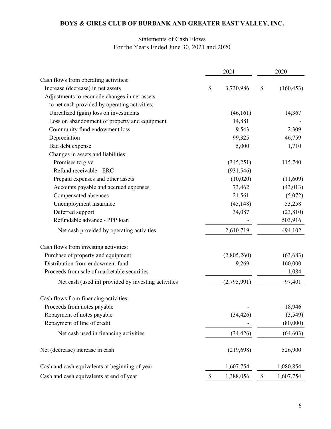# Statements of Cash Flows For the Years Ended June 30, 2021 and 2020

|                                                     | 2021 |             | 2020 |            |
|-----------------------------------------------------|------|-------------|------|------------|
| Cash flows from operating activities:               |      |             |      |            |
| Increase (decrease) in net assets                   | \$   | 3,730,986   | \$   | (160, 453) |
| Adjustments to reconcile changes in net assets      |      |             |      |            |
| to net cash provided by operating activities:       |      |             |      |            |
| Unrealized (gain) loss on investments               |      | (46,161)    |      | 14,367     |
| Loss on abandonment of property and equipment       |      | 14,881      |      |            |
| Community fund endowment loss                       |      | 9,543       |      | 2,309      |
| Depreciation                                        |      | 99,325      |      | 46,759     |
| Bad debt expense                                    |      | 5,000       |      | 1,710      |
| Changes in assets and liabilities:                  |      |             |      |            |
| Promises to give                                    |      | (345,251)   |      | 115,740    |
| Refund receivable - ERC                             |      | (931, 546)  |      |            |
| Prepaid expenses and other assets                   |      | (10,020)    |      | (11,609)   |
| Accounts payable and accrued expenses               |      | 73,462      |      | (43, 013)  |
| Compensated absences                                |      | 21,561      |      | (5,072)    |
| Unemployment insurance                              |      | (45, 148)   |      | 53,258     |
| Deferred support                                    |      | 34,087      |      | (23, 810)  |
| Refundable advance - PPP loan                       |      |             |      | 503,916    |
| Net cash provided by operating activities           |      | 2,610,719   |      | 494,102    |
| Cash flows from investing activities:               |      |             |      |            |
| Purchase of property and equipment                  |      | (2,805,260) |      | (63, 683)  |
| Distribution from endowment fund                    |      | 9,269       |      | 160,000    |
| Proceeds from sale of marketable securities         |      |             |      | 1,084      |
| Net cash (used in) provided by investing activities |      | (2,795,991) |      | 97,401     |
| Cash flows from financing activities:               |      |             |      |            |
| Proceeds from notes payable                         |      |             |      | 18,946     |
| Repayment of notes payable                          |      | (34, 426)   |      | (3,549)    |
| Repayment of line of credit                         |      |             |      | (80,000)   |
| Net cash used in financing activities               |      | (34, 426)   |      | (64, 603)  |
| Net (decrease) increase in cash                     |      | (219, 698)  |      | 526,900    |
| Cash and cash equivalents at beginning of year      |      | 1,607,754   |      | 1,080,854  |
| Cash and cash equivalents at end of year            | \$   | 1,388,056   | \$   | 1,607,754  |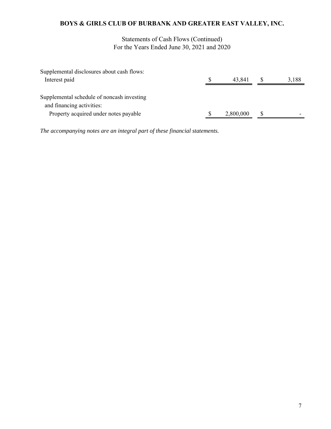# Statements of Cash Flows (Continued) For the Years Ended June 30, 2021 and 2020

| Supplemental disclosures about cash flows: |   |           |       |
|--------------------------------------------|---|-----------|-------|
| Interest paid                              | S | 43.841    | 3,188 |
| Supplemental schedule of noncash investing |   |           |       |
| and financing activities:                  |   |           |       |
| Property acquired under notes payable      |   | 2,800,000 |       |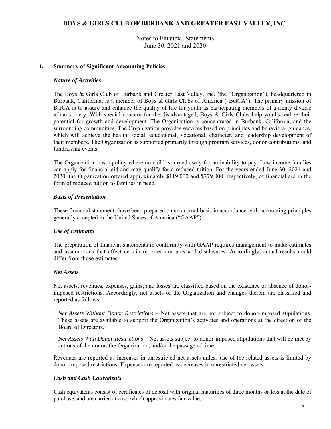Notes to Financial Statements June 30, 2021 and 2020

#### **1. Summary of Significant Accounting Policies**

#### *Nature of Activities*

The Boys & Girls Club of Burbank and Greater East Valley, Inc. (the "Organization"), headquartered in Burbank, California, is a member of Boys & Girls Clubs of America ("BGCA"). The primary mission of BGCA is to assure and enhance the quality of life for youth as participating members of a richly diverse urban society. With special concern for the disadvantaged, Boys & Girls Clubs help youths realize their potential for growth and development. The Organization is concentrated in Burbank, California, and the surrounding communities. The Organization provides services based on principles and behavioral guidance, which will achieve the health, social, educational, vocational, character, and leadership development of their members. The Organization is supported primarily through program services, donor contributions, and fundraising events.

The Organization has a policy where no child is turned away for an inability to pay. Low income families can apply for financial aid and may qualify for a reduced tuition. For the years ended June 30, 2021 and 2020, the Organization offered approximately \$119,000 and \$279,000, respectively, of financial aid in the form of reduced tuition to families in need.

#### *Basis of Presentation*

These financial statements have been prepared on an accrual basis in accordance with accounting principles generally accepted in the United States of America ("GAAP").

#### *Use of Estimates*

The preparation of financial statements in conformity with GAAP requires management to make estimates and assumptions that affect certain reported amounts and disclosures. Accordingly, actual results could differ from those estimates.

#### *Net Assets*

Net assets, revenues, expenses, gains, and losses are classified based on the existence or absence of donorimposed restrictions. Accordingly, net assets of the Organization and changes therein are classified and reported as follows:

*Net Assets Without Donor Restrictions* – Net assets that are not subject to donor-imposed stipulations. These assets are available to support the Organization's activities and operations at the direction of the Board of Directors.

*Net Assets With Donor Restrictions* – Net assets subject to donor-imposed stipulations that will be met by actions of the donor, the Organization, and/or the passage of time.

Revenues are reported as increases in unrestricted net assets unless use of the related assets is limited by donor-imposed restrictions. Expenses are reported as decreases in unrestricted net assets.

### *Cash and Cash Equivalents*

Cash equivalents consist of certificates of deposit with original maturities of three months or less at the date of purchase, and are carried at cost, which approximates fair value.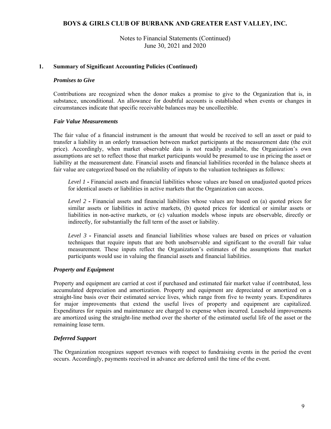Notes to Financial Statements (Continued) June 30, 2021 and 2020

#### **1. Summary of Significant Accounting Policies (Continued)**

#### *Promises to Give*

Contributions are recognized when the donor makes a promise to give to the Organization that is, in substance, unconditional. An allowance for doubtful accounts is established when events or changes in circumstances indicate that specific receivable balances may be uncollectible.

#### *Fair Value Measurements*

The fair value of a financial instrument is the amount that would be received to sell an asset or paid to transfer a liability in an orderly transaction between market participants at the measurement date (the exit price). Accordingly, when market observable data is not readily available, the Organization's own assumptions are set to reflect those that market participants would be presumed to use in pricing the asset or liability at the measurement date. Financial assets and financial liabilities recorded in the balance sheets at fair value are categorized based on the reliability of inputs to the valuation techniques as follows:

*Level 1* - Financial assets and financial liabilities whose values are based on unadjusted quoted prices for identical assets or liabilities in active markets that the Organization can access.

*Level 2* **-** Financial assets and financial liabilities whose values are based on (a) quoted prices for similar assets or liabilities in active markets, (b) quoted prices for identical or similar assets or liabilities in non-active markets, or (c) valuation models whose inputs are observable, directly or indirectly, for substantially the full term of the asset or liability.

*Level 3* **-** Financial assets and financial liabilities whose values are based on prices or valuation techniques that require inputs that are both unobservable and significant to the overall fair value measurement. These inputs reflect the Organization's estimates of the assumptions that market participants would use in valuing the financial assets and financial liabilities.

### *Property and Equipment*

Property and equipment are carried at cost if purchased and estimated fair market value if contributed, less accumulated depreciation and amortization. Property and equipment are depreciated or amortized on a straight-line basis over their estimated service lives, which range from five to twenty years. Expenditures for major improvements that extend the useful lives of property and equipment are capitalized. Expenditures for repairs and maintenance are charged to expense when incurred. Leasehold improvements are amortized using the straight-line method over the shorter of the estimated useful life of the asset or the remaining lease term.

### *Deferred Support*

The Organization recognizes support revenues with respect to fundraising events in the period the event occurs. Accordingly, payments received in advance are deferred until the time of the event.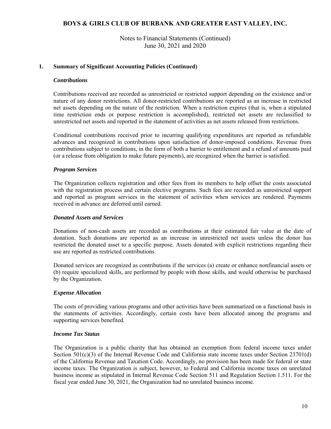Notes to Financial Statements (Continued) June 30, 2021 and 2020

### **1. Summary of Significant Accounting Policies (Continued)**

#### *Contributions*

Contributions received are recorded as unrestricted or restricted support depending on the existence and/or nature of any donor restrictions. All donor-restricted contributions are reported as an increase in restricted net assets depending on the nature of the restriction. When a restriction expires (that is, when a stipulated time restriction ends or purpose restriction is accomplished), restricted net assets are reclassified to unrestricted net assets and reported in the statement of activities as net assets released from restrictions.

Conditional contributions received prior to incurring qualifying expenditures are reported as refundable advances and recognized in contributions upon satisfaction of donor-imposed conditions. Revenue from contributions subject to conditions, in the form of both a barrier to entitlement and a refund of amounts paid (or a release from obligation to make future payments), are recognized when the barrier is satisfied.

### *Program Services*

The Organization collects registration and other fees from its members to help offset the costs associated with the registration process and certain elective programs. Such fees are recorded as unrestricted support and reported as program services in the statement of activities when services are rendered. Payments received in advance are deferred until earned.

#### *Donated Assets and Services*

Donations of non-cash assets are recorded as contributions at their estimated fair value at the date of donation. Such donations are reported as an increase in unrestricted net assets unless the donor has restricted the donated asset to a specific purpose. Assets donated with explicit restrictions regarding their use are reported as restricted contributions.

Donated services are recognized as contributions if the services (a) create or enhance nonfinancial assets or (b) require specialized skills, are performed by people with those skills, and would otherwise be purchased by the Organization.

### *Expense Allocation*

The costs of providing various programs and other activities have been summarized on a functional basis in the statements of activities. Accordingly, certain costs have been allocated among the programs and supporting services benefited.

#### *Income Tax Status*

The Organization is a public charity that has obtained an exemption from federal income taxes under Section 501(c)(3) of the Internal Revenue Code and California state income taxes under Section 23701(d) of the California Revenue and Taxation Code. Accordingly, no provision has been made for federal or state income taxes. The Organization is subject, however, to Federal and California income taxes on unrelated business income as stipulated in Internal Revenue Code Section 511 and Regulation Section 1.511. For the fiscal year ended June 30, 2021, the Organization had no unrelated business income.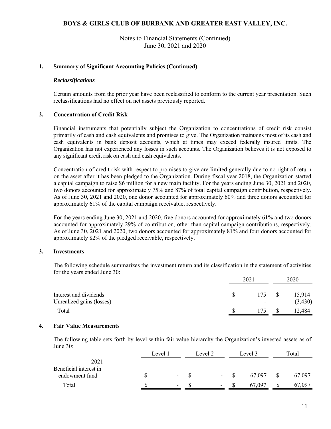Notes to Financial Statements (Continued) June 30, 2021 and 2020

## **1. Summary of Significant Accounting Policies (Continued)**

#### *Reclassifications*

Certain amounts from the prior year have been reclassified to conform to the current year presentation. Such reclassifications had no effect on net assets previously reported.

### **2. Concentration of Credit Risk**

Financial instruments that potentially subject the Organization to concentrations of credit risk consist primarily of cash and cash equivalents and promises to give. The Organization maintains most of its cash and cash equivalents in bank deposit accounts, which at times may exceed federally insured limits. The Organization has not experienced any losses in such accounts. The Organization believes it is not exposed to any significant credit risk on cash and cash equivalents.

Concentration of credit risk with respect to promises to give are limited generally due to no right of return on the asset after it has been pledged to the Organization. During fiscal year 2018, the Organization started a capital campaign to raise \$6 million for a new main facility. For the years ending June 30, 2021 and 2020, two donors accounted for approximately 75% and 87% of total capital campaign contribution, respectively. As of June 30, 2021 and 2020, one donor accounted for approximately 60% and three donors accounted for approximately 61% of the capital campaign receivable, respectively.

For the years ending June 30, 2021 and 2020, five donors accounted for approximately 61% and two donors accounted for approximately 29% of contribution, other than capital campaign contributions, respectively. As of June 30, 2021 and 2020, two donors accounted for approximately 81% and four donors accounted for approximately 82% of the pledged receivable, respectively.

### **3. Investments**

The following schedule summarizes the investment return and its classification in the statement of activities for the years ended June 30:

|                                                     | 2021 |          |          | 2020              |  |  |
|-----------------------------------------------------|------|----------|----------|-------------------|--|--|
| Interest and dividends<br>Unrealized gains (losses) | -SS  | 175<br>- | <b>S</b> | 15,914<br>(3,430) |  |  |
| Total                                               |      | 175      |          | 12,484            |  |  |

#### **4. Fair Value Measurements**

The following table sets forth by level within fair value hierarchy the Organization's invested assets as of June 30:

|                        | Level |                          | Level 2 |                          | Level 3 | Total |
|------------------------|-------|--------------------------|---------|--------------------------|---------|-------|
| 2021                   |       |                          |         |                          |         |       |
| Beneficial interest in |       |                          |         |                          |         |       |
| endowment fund         |       | $\overline{\phantom{a}}$ |         | $\overline{\phantom{a}}$ | 67,097  | 0.097 |
| Total                  |       | $\overline{\phantom{0}}$ |         | $\overline{\phantom{a}}$ | .097    | 1.097 |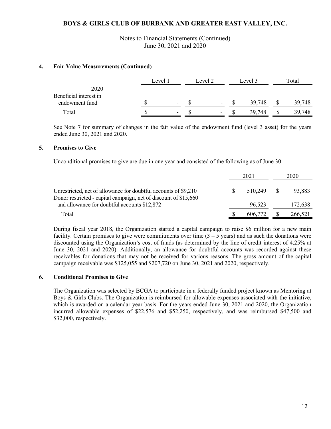Notes to Financial Statements (Continued) June 30, 2021 and 2020

### **4. Fair Value Measurements (Continued)**

|                        |  | Level 1                  | Level 2                  | Level 3 | Total  |
|------------------------|--|--------------------------|--------------------------|---------|--------|
| 2020                   |  |                          |                          |         |        |
| Beneficial interest in |  |                          |                          |         |        |
| endowment fund         |  | $\blacksquare$           | $\overline{\phantom{a}}$ | 39,748  | 39,748 |
| Total                  |  | $\overline{\phantom{a}}$ | $\overline{\phantom{a}}$ | 39,748  | 39,748 |

See Note 7 for summary of changes in the fair value of the endowment fund (level 3 asset) for the years ended June 30, 2021 and 2020.

#### **5. Promises to Give**

Unconditional promises to give are due in one year and consisted of the following as of June 30:

|                                                                  |     | 2021    |     | 2020    |
|------------------------------------------------------------------|-----|---------|-----|---------|
| Unrestricted, net of allowance for doubtful accounts of \$9,210  | SS. | 510.249 | - S | 93.883  |
| Donor restricted - capital campaign, net of discount of \$15,660 |     |         |     |         |
| and allowance for doubtful accounts \$12,872                     |     | 96.523  |     | 172,638 |
| Total                                                            | S.  | 606,772 |     | 266,521 |

During fiscal year 2018, the Organization started a capital campaign to raise \$6 million for a new main facility. Certain promises to give were commitments over time  $(3 - 5$  years) and as such the donations were discounted using the Organization's cost of funds (as determined by the line of credit interest of 4.25% at June 30, 2021 and 2020). Additionally, an allowance for doubtful accounts was recorded against these receivables for donations that may not be received for various reasons. The gross amount of the capital campaign receivable was \$125,055 and \$207,720 on June 30, 2021 and 2020, respectively.

#### **6. Conditional Promises to Give**

The Organization was selected by BCGA to participate in a federally funded project known as Mentoring at Boys & Girls Clubs. The Organization is reimbursed for allowable expenses associated with the initiative, which is awarded on a calendar year basis. For the years ended June 30, 2021 and 2020, the Organization incurred allowable expenses of \$22,576 and \$52,250, respectively, and was reimbursed \$47,500 and \$32,000, respectively.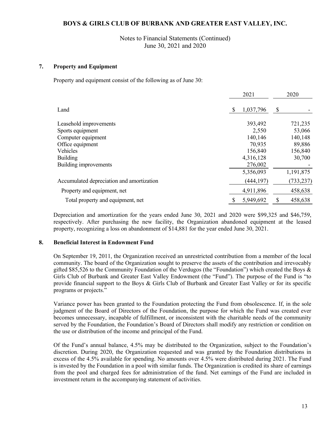Notes to Financial Statements (Continued) June 30, 2021 and 2020

## **7. Property and Equipment**

Property and equipment consist of the following as of June 30:

|                                           | 2021            | 2020          |
|-------------------------------------------|-----------------|---------------|
| Land                                      | 1,037,796<br>S  | \$            |
| Leasehold improvements                    | 393,492         | 721,235       |
| Sports equipment                          | 2,550           | 53,066        |
| Computer equipment                        | 140,146         | 140,148       |
| Office equipment                          | 70,935          | 89,886        |
| Vehicles                                  | 156,840         | 156,840       |
| <b>Building</b>                           | 4,316,128       | 30,700        |
| Building improvements                     | 276,002         |               |
|                                           | 5,356,093       | 1,191,875     |
| Accumulated depreciation and amortization | (444, 197)      | (733, 237)    |
| Property and equipment, net               | 4,911,896       | 458,638       |
| Total property and equipment, net         | 5,949,692<br>\$ | \$<br>458,638 |

Depreciation and amortization for the years ended June 30, 2021 and 2020 were \$99,325 and \$46,759, respectively. After purchasing the new facility, the Organization abandoned equipment at the leased property, recognizing a loss on abandonment of \$14,881 for the year ended June 30, 2021.

### **8. Beneficial Interest in Endowment Fund**

On September 19, 2011, the Organization received an unrestricted contribution from a member of the local community. The board of the Organization sought to preserve the assets of the contribution and irrevocably gifted \$85,526 to the Community Foundation of the Verdugos (the "Foundation") which created the Boys & Girls Club of Burbank and Greater East Valley Endowment (the "Fund"). The purpose of the Fund is "to provide financial support to the Boys & Girls Club of Burbank and Greater East Valley or for its specific programs or projects."

Variance power has been granted to the Foundation protecting the Fund from obsolescence. If, in the sole judgment of the Board of Directors of the Foundation, the purpose for which the Fund was created ever becomes unnecessary, incapable of fulfillment, or inconsistent with the charitable needs of the community served by the Foundation, the Foundation's Board of Directors shall modify any restriction or condition on the use or distribution of the income and principal of the Fund.

Of the Fund's annual balance, 4.5% may be distributed to the Organization, subject to the Foundation's discretion. During 2020, the Organization requested and was granted by the Foundation distributions in excess of the 4.5% available for spending. No amounts over 4.5% were distributed during 2021. The Fund is invested by the Foundation in a pool with similar funds. The Organization is credited its share of earnings from the pool and charged fees for administration of the fund. Net earnings of the Fund are included in investment return in the accompanying statement of activities.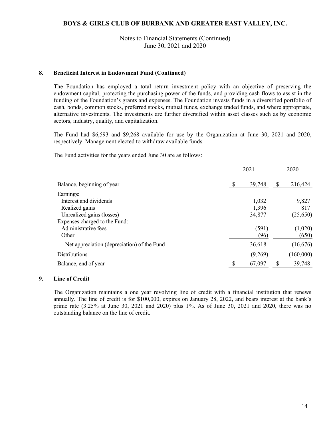# Notes to Financial Statements (Continued) June 30, 2021 and 2020

#### **8. Beneficial Interest in Endowment Fund (Continued)**

The Foundation has employed a total return investment policy with an objective of preserving the endowment capital, protecting the purchasing power of the funds, and providing cash flows to assist in the funding of the Foundation's grants and expenses. The Foundation invests funds in a diversified portfolio of cash, bonds, common stocks, preferred stocks, mutual funds, exchange traded funds, and where appropriate, alternative investments. The investments are further diversified within asset classes such as by economic sectors, industry, quality, and capitalization.

The Fund had \$6,593 and \$9,268 available for use by the Organization at June 30, 2021 and 2020, respectively. Management elected to withdraw available funds.

The Fund activities for the years ended June 30 are as follows:

|                                             | 2021    | 2020          |
|---------------------------------------------|---------|---------------|
| Balance, beginning of year                  | 39,748  | \$<br>216,424 |
| Earnings:                                   |         |               |
| Interest and dividends                      | 1,032   | 9,827         |
| Realized gains                              | 1,396   | 817           |
| Unrealized gains (losses)                   | 34,877  | (25, 650)     |
| Expenses charged to the Fund:               |         |               |
| Administrative fees                         | (591)   | (1,020)       |
| Other                                       | (96)    | (650)         |
| Net appreciation (depreciation) of the Fund | 36,618  | (16, 676)     |
| <b>Distributions</b>                        | (9,269) | (160,000)     |
| Balance, end of year                        | 67,097  | 39,748        |

#### **9. Line of Credit**

The Organization maintains a one year revolving line of credit with a financial institution that renews annually. The line of credit is for \$100,000, expires on January 28, 2022, and bears interest at the bank's prime rate (3.25% at June 30, 2021 and 2020) plus 1%. As of June 30, 2021 and 2020, there was no outstanding balance on the line of credit.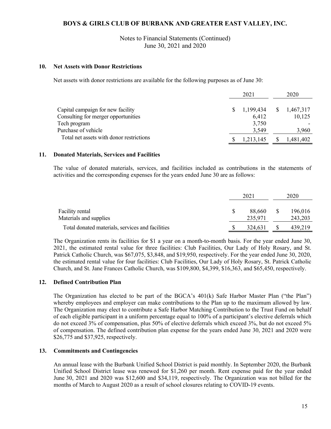Notes to Financial Statements (Continued) June 30, 2021 and 2020

#### **10. Net Assets with Donor Restrictions**

Net assets with donor restrictions are available for the following purposes as of June 30:

|                                          | 2021 |           | 2020         |           |
|------------------------------------------|------|-----------|--------------|-----------|
|                                          |      |           |              |           |
| Capital campaign for new facility        |      | 1,199,434 | <sup>S</sup> | 1,467,317 |
| Consulting for merger opportunities      |      | 6,412     |              | 10,125    |
| Tech program                             |      | 3,750     |              |           |
| Purchase of vehicle                      |      | 3,549     |              | 3,960     |
| Total net assets with donor restrictions |      | 1,213,145 |              | 1,481,402 |

#### **11. Donated Materials, Services and Facilities**

The value of donated materials, services, and facilities included as contributions in the statements of activities and the corresponding expenses for the years ended June 30 are as follows:

|                                                  |    | 2021              |    | 2020               |
|--------------------------------------------------|----|-------------------|----|--------------------|
| Facility rental<br>Materials and supplies        | S. | 88,660<br>235,971 | -S | 196,016<br>243,203 |
| Total donated materials, services and facilities |    | 324,631           |    | 439,219            |

The Organization rents its facilities for \$1 a year on a month-to-month basis. For the year ended June 30, 2021, the estimated rental value for three facilities: Club Facilities, Our Lady of Holy Rosary, and St. Patrick Catholic Church, was \$67,075, \$3,848, and \$19,950, respectively. For the year ended June 30, 2020, the estimated rental value for four facilities: Club Facilities, Our Lady of Holy Rosary, St. Patrick Catholic Church, and St. Jane Frances Catholic Church, was \$109,800, \$4,399, \$16,363, and \$65,450, respectively.

### **12. Defined Contribution Plan**

The Organization has elected to be part of the BGCA's 401(k) Safe Harbor Master Plan ("the Plan") whereby employees and employer can make contributions to the Plan up to the maximum allowed by law. The Organization may elect to contribute a Safe Harbor Matching Contribution to the Trust Fund on behalf of each eligible participant in a uniform percentage equal to 100% of a participant's elective deferrals which do not exceed 3% of compensation, plus 50% of elective deferrals which exceed 3%, but do not exceed 5% of compensation. The defined contribution plan expense for the years ended June 30, 2021 and 2020 were \$26,775 and \$37,925, respectively.

#### **13. Commitments and Contingencies**

An annual lease with the Burbank Unified School District is paid monthly. In September 2020, the Burbank Unified School District lease was renewed for \$1,260 per month. Rent expense paid for the year ended June 30, 2021 and 2020 was \$12,600 and \$34,119, respectively. The Organization was not billed for the months of March to August 2020 as a result of school closures relating to COVID-19 events.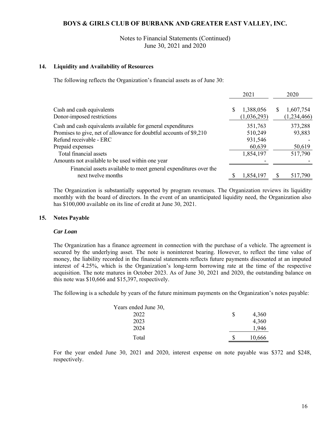Notes to Financial Statements (Continued) June 30, 2021 and 2020

#### **14. Liquidity and Availability of Resources**

The following reflects the Organization's financial assets as of June 30:

|                                                                                        | 2021                            | 2020                          |
|----------------------------------------------------------------------------------------|---------------------------------|-------------------------------|
| Cash and cash equivalents<br>Donor-imposed restrictions                                | 1,388,056<br>\$.<br>(1,036,293) | 1,607,754<br>S<br>(1,234,466) |
| Cash and cash equivalents available for general expenditures                           | 351,763                         | 373,288                       |
| Promises to give, net of allowance for doubtful accounts of \$9,210                    | 510,249                         | 93,883                        |
| Refund receivable - ERC                                                                | 931,546                         |                               |
| Prepaid expenses                                                                       | 60,639                          | 50,619                        |
| Total financial assets                                                                 | 1,854,197                       | 517,790                       |
| Amounts not available to be used within one year                                       |                                 |                               |
| Financial assets available to meet general expenditures over the<br>next twelve months | 1,854,197                       | 517,790                       |

The Organization is substantially supported by program revenues. The Organization reviews its liquidity monthly with the board of directors. In the event of an unanticipated liquidity need, the Organization also has \$100,000 available on its line of credit at June 30, 2021.

#### **15. Notes Payable**

#### *Car Loan*

The Organization has a finance agreement in connection with the purchase of a vehicle. The agreement is secured by the underlying asset. The note is noninterest bearing. However, to reflect the time value of money, the liability recorded in the financial statements reflects future payments discounted at an imputed interest of 4.25%, which is the Organization's long-term borrowing rate at the time of the respective acquisition. The note matures in October 2023. As of June 30, 2021 and 2020, the outstanding balance on this note was \$10,666 and \$15,397, respectively.

The following is a schedule by years of the future minimum payments on the Organization's notes payable:

| Years ended June 30, |   |        |
|----------------------|---|--------|
| 2022                 | S | 4,360  |
| 2023                 |   | 4,360  |
| 2024                 |   | 1,946  |
| Total                |   | 10,666 |

For the year ended June 30, 2021 and 2020, interest expense on note payable was \$372 and \$248, respectively.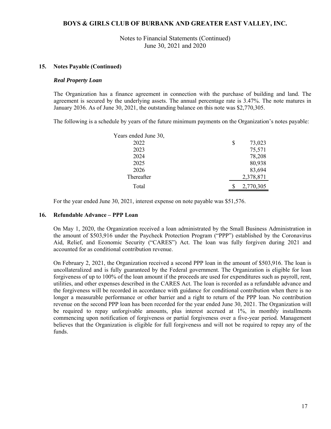Notes to Financial Statements (Continued) June 30, 2021 and 2020

#### **15. Notes Payable (Continued)**

#### *Real Property Loan*

The Organization has a finance agreement in connection with the purchase of building and land. The agreement is secured by the underlying assets. The annual percentage rate is 3.47%. The note matures in January 2036. As of June 30, 2021, the outstanding balance on this note was \$2,770,305.

The following is a schedule by years of the future minimum payments on the Organization's notes payable:

| Years ended June 30, |             |
|----------------------|-------------|
| 2022                 | 73,023<br>S |
| 2023                 | 75,571      |
| 2024                 | 78,208      |
| 2025                 | 80,938      |
| 2026                 | 83,694      |
| Thereafter           | 2,378,871   |
| Total                | 2,770,305   |

For the year ended June 30, 2021, interest expense on note payable was \$51,576.

#### **16. Refundable Advance – PPP Loan**

On May 1, 2020, the Organization received a loan administrated by the Small Business Administration in the amount of \$503,916 under the Paycheck Protection Program ("PPP") established by the Coronavirus Aid, Relief, and Economic Security ("CARES") Act. The loan was fully forgiven during 2021 and accounted for as conditional contribution revenue.

On February 2, 2021, the Organization received a second PPP loan in the amount of \$503,916. The loan is uncollateralized and is fully guaranteed by the Federal government. The Organization is eligible for loan forgiveness of up to 100% of the loan amount if the proceeds are used for expenditures such as payroll, rent, utilities, and other expenses described in the CARES Act. The loan is recorded as a refundable advance and the forgiveness will be recorded in accordance with guidance for conditional contribution when there is no longer a measurable performance or other barrier and a right to return of the PPP loan. No contribution revenue on the second PPP loan has been recorded for the year ended June 30, 2021. The Organization will be required to repay unforgivable amounts, plus interest accrued at 1%, in monthly installments commencing upon notification of forgiveness or partial forgiveness over a five-year period. Management believes that the Organization is eligible for full forgiveness and will not be required to repay any of the funds.